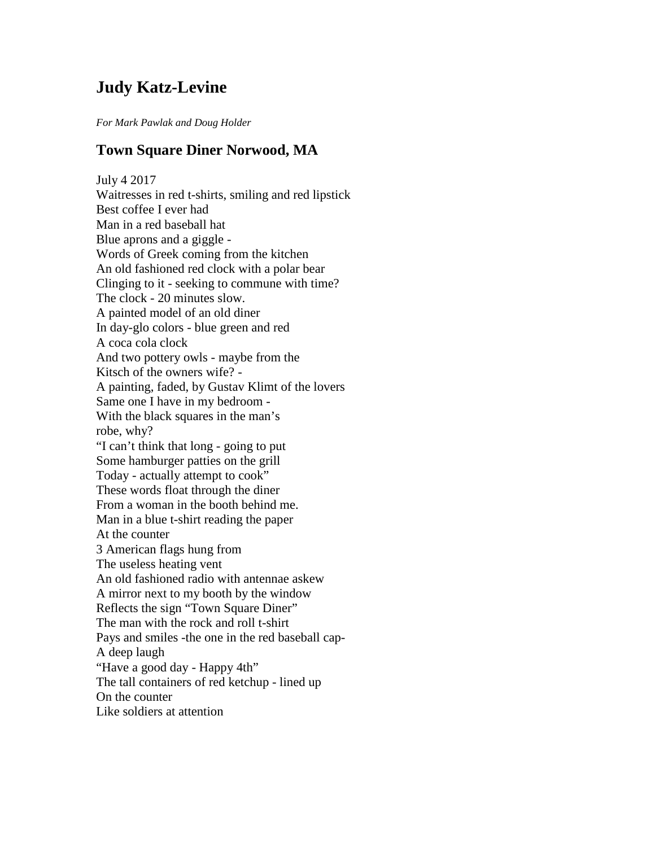## **Judy Katz-Levine**

*For Mark Pawlak and Doug Holder*

## **Town Square Diner Norwood, MA**

July 4 2017 Waitresses in red t-shirts, smiling and red lipstick Best coffee I ever had Man in a red baseball hat Blue aprons and a giggle - Words of Greek coming from the kitchen An old fashioned red clock with a polar bear Clinging to it - seeking to commune with time? The clock - 20 minutes slow. A painted model of an old diner In day-glo colors - blue green and red A coca cola clock And two pottery owls - maybe from the Kitsch of the owners wife? - A painting, faded, by Gustav Klimt of the lovers Same one I have in my bedroom - With the black squares in the man's robe, why? "I can't think that long - going to put Some hamburger patties on the grill Today - actually attempt to cook" These words float through the diner From a woman in the booth behind me. Man in a blue t-shirt reading the paper At the counter 3 American flags hung from The useless heating vent An old fashioned radio with antennae askew A mirror next to my booth by the window Reflects the sign "Town Square Diner" The man with the rock and roll t-shirt Pays and smiles -the one in the red baseball cap-A deep laugh "Have a good day - Happy 4th" The tall containers of red ketchup - lined up On the counter Like soldiers at attention